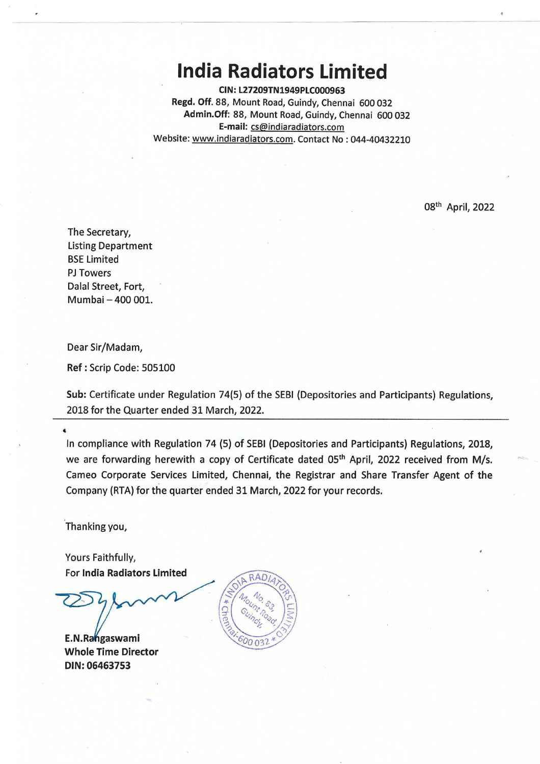## **India Radiators Limited**

**CIN:L27209TN1949PLC000963 Regd. Off.** 88, Mount Road, Guindy, Chennai 600 032 **Admin.Off:** 88, Mount Road, Guindy, Chennai 600 032 **E-mail:** cs@indiaradiators.com Website: www.indiaradiators.com. Contact No : 044-40432210

08<sup>th</sup> April, 2022

The Secretary, listing Department BSE limited PJ Towers Dalal Street, Fort, Mumbai - 400 001.

Dear Sir/Madam,

**Ref:** Scrip Code: <sup>505100</sup>

**Sub:** Certificate under Regulation 74(5) of the SEBI (Depositories and Participants) Regulations, 2018 for the Quarter ended 31 March, 2022.

In compliance with Regulation 74 (5) of SEBI (Depositories and Participants) Regulations, 2018, we are forwarding herewith a copy of Certificate dated 05<sup>th</sup> April, 2022 received from M/s. Cameo Corporate Services limited, Chennai, the Registrar and Share Transfer Agent of the Company (RTA) for the quarter ended 31 March, 2022 for your records.

Thanking you,

Yours Faithfully, For **India Radiators Limited** 

E.N.Rangaswami **Whole Time Director DIN:06463753**